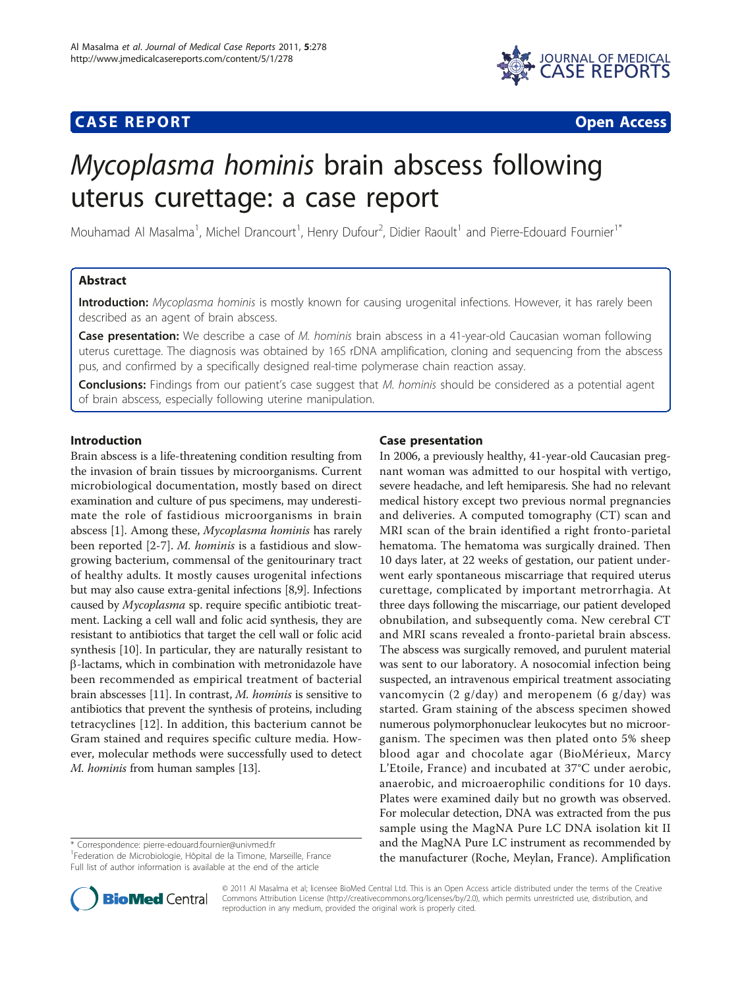## **CASE REPORT CASE REPORT CASE REPORT**



# Mycoplasma hominis brain abscess following uterus curettage: a case report

Mouhamad Al Masalma<sup>1</sup>, Michel Drancourt<sup>1</sup>, Henry Dufour<sup>2</sup>, Didier Raoult<sup>1</sup> and Pierre-Edouard Fournier<sup>1\*</sup>

## Abstract

Introduction: Mycoplasma hominis is mostly known for causing urogenital infections. However, it has rarely been described as an agent of brain abscess.

Case presentation: We describe a case of M. hominis brain abscess in a 41-year-old Caucasian woman following uterus curettage. The diagnosis was obtained by 16S rDNA amplification, cloning and sequencing from the abscess pus, and confirmed by a specifically designed real-time polymerase chain reaction assay.

Conclusions: Findings from our patient's case suggest that M. hominis should be considered as a potential agent of brain abscess, especially following uterine manipulation.

## Introduction

Brain abscess is a life-threatening condition resulting from the invasion of brain tissues by microorganisms. Current microbiological documentation, mostly based on direct examination and culture of pus specimens, may underestimate the role of fastidious microorganisms in brain abscess [[1\]](#page-2-0). Among these, Mycoplasma hominis has rarely been reported [\[2](#page-2-0)-[7\]](#page-2-0). M. hominis is a fastidious and slowgrowing bacterium, commensal of the genitourinary tract of healthy adults. It mostly causes urogenital infections but may also cause extra-genital infections [[8](#page-2-0),[9](#page-2-0)]. Infections caused by Mycoplasma sp. require specific antibiotic treatment. Lacking a cell wall and folic acid synthesis, they are resistant to antibiotics that target the cell wall or folic acid synthesis [[10\]](#page-2-0). In particular, they are naturally resistant to  $\beta$ -lactams, which in combination with metronidazole have been recommended as empirical treatment of bacterial brain abscesses [\[11\]](#page-2-0). In contrast, M. hominis is sensitive to antibiotics that prevent the synthesis of proteins, including tetracyclines [\[12](#page-2-0)]. In addition, this bacterium cannot be Gram stained and requires specific culture media. However, molecular methods were successfully used to detect M. hominis from human samples [\[13\]](#page-2-0).



In 2006, a previously healthy, 41-year-old Caucasian pregnant woman was admitted to our hospital with vertigo, severe headache, and left hemiparesis. She had no relevant medical history except two previous normal pregnancies and deliveries. A computed tomography (CT) scan and MRI scan of the brain identified a right fronto-parietal hematoma. The hematoma was surgically drained. Then 10 days later, at 22 weeks of gestation, our patient underwent early spontaneous miscarriage that required uterus curettage, complicated by important metrorrhagia. At three days following the miscarriage, our patient developed obnubilation, and subsequently coma. New cerebral CT and MRI scans revealed a fronto-parietal brain abscess. The abscess was surgically removed, and purulent material was sent to our laboratory. A nosocomial infection being suspected, an intravenous empirical treatment associating vancomycin (2  $g/day$ ) and meropenem (6  $g/day$ ) was started. Gram staining of the abscess specimen showed numerous polymorphonuclear leukocytes but no microorganism. The specimen was then plated onto 5% sheep blood agar and chocolate agar (BioMérieux, Marcy L'Etoile, France) and incubated at 37°C under aerobic, anaerobic, and microaerophilic conditions for 10 days. Plates were examined daily but no growth was observed. For molecular detection, DNA was extracted from the pus sample using the MagNA Pure LC DNA isolation kit II and the MagNA Pure LC instrument as recommended by the manufacturer (Roche, Meylan, France). Amplification



© 2011 Al Masalma et al; licensee BioMed Central Ltd. This is an Open Access article distributed under the terms of the Creative Commons Attribution License [\(http://creativecommons.org/licenses/by/2.0](http://creativecommons.org/licenses/by/2.0)), which permits unrestricted use, distribution, and reproduction in any medium, provided the original work is properly cited.

<sup>\*</sup> Correspondence: [pierre-edouard.fournier@univmed.fr](mailto:pierre-edouard.fournier@univmed.fr)

<sup>&</sup>lt;sup>1</sup>Federation de Microbiologie, Hôpital de la Timone, Marseille, France Full list of author information is available at the end of the article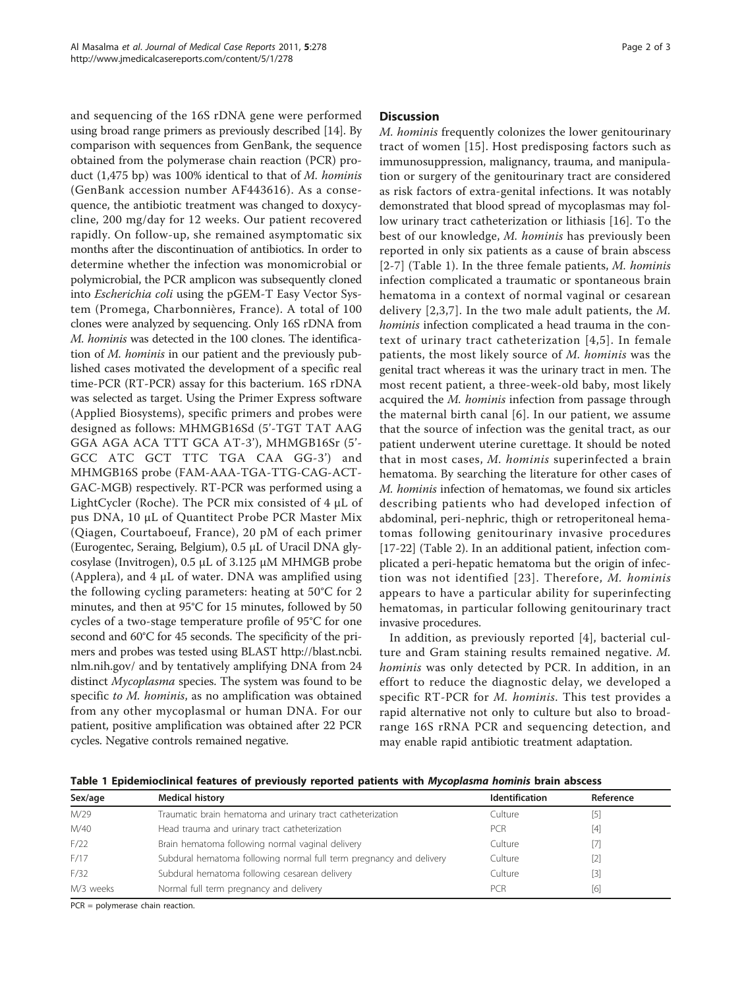and sequencing of the 16S rDNA gene were performed using broad range primers as previously described [[14\]](#page-2-0). By comparison with sequences from GenBank, the sequence obtained from the polymerase chain reaction (PCR) product (1,475 bp) was 100% identical to that of  $M$ . hominis (GenBank accession number [AF443616](http://www.ncbi.nih.gov/entrez/query.fcgi?db=Nucleotide&cmd=search&term=AF443616)). As a consequence, the antibiotic treatment was changed to doxycycline, 200 mg/day for 12 weeks. Our patient recovered rapidly. On follow-up, she remained asymptomatic six months after the discontinuation of antibiotics. In order to determine whether the infection was monomicrobial or polymicrobial, the PCR amplicon was subsequently cloned into Escherichia coli using the pGEM-T Easy Vector System (Promega, Charbonnières, France). A total of 100 clones were analyzed by sequencing. Only 16S rDNA from M. hominis was detected in the 100 clones. The identification of M. hominis in our patient and the previously published cases motivated the development of a specific real time-PCR (RT-PCR) assay for this bacterium. 16S rDNA was selected as target. Using the Primer Express software (Applied Biosystems), specific primers and probes were designed as follows: MHMGB16Sd (5'-TGT TAT AAG GGA AGA ACA TTT GCA AT-3'), MHMGB16Sr (5'- GCC ATC GCT TTC TGA CAA GG-3') and MHMGB16S probe (FAM-AAA-TGA-TTG-CAG-ACT-GAC-MGB) respectively. RT-PCR was performed using a LightCycler (Roche). The PCR mix consisted of 4 μL of pus DNA, 10 μL of Quantitect Probe PCR Master Mix (Qiagen, Courtaboeuf, France), 20 pM of each primer (Eurogentec, Seraing, Belgium), 0.5 μL of Uracil DNA glycosylase (Invitrogen), 0.5 μL of 3.125 μM MHMGB probe (Applera), and  $4 \mu L$  of water. DNA was amplified using the following cycling parameters: heating at 50°C for 2 minutes, and then at 95°C for 15 minutes, followed by 50 cycles of a two-stage temperature profile of 95°C for one second and 60°C for 45 seconds. The specificity of the primers and probes was tested using BLAST [http://blast.ncbi.](http://blast.ncbi.nlm.nih.gov/) [nlm.nih.gov/](http://blast.ncbi.nlm.nih.gov/) and by tentatively amplifying DNA from 24 distinct Mycoplasma species. The system was found to be specific to M. hominis, as no amplification was obtained from any other mycoplasmal or human DNA. For our patient, positive amplification was obtained after 22 PCR cycles. Negative controls remained negative.

## **Discussion**

M. hominis frequently colonizes the lower genitourinary tract of women [[15](#page-2-0)]. Host predisposing factors such as immunosuppression, malignancy, trauma, and manipulation or surgery of the genitourinary tract are considered as risk factors of extra-genital infections. It was notably demonstrated that blood spread of mycoplasmas may follow urinary tract catheterization or lithiasis [\[16](#page-2-0)]. To the best of our knowledge, M. hominis has previously been reported in only six patients as a cause of brain abscess [[2](#page-2-0)-[7\]](#page-2-0) (Table 1). In the three female patients, M. hominis infection complicated a traumatic or spontaneous brain hematoma in a context of normal vaginal or cesarean delivery [[2](#page-2-0),[3,7](#page-2-0)]. In the two male adult patients, the M. hominis infection complicated a head trauma in the context of urinary tract catheterization [[4,5\]](#page-2-0). In female patients, the most likely source of M. hominis was the genital tract whereas it was the urinary tract in men. The most recent patient, a three-week-old baby, most likely acquired the *M. hominis* infection from passage through the maternal birth canal [\[6\]](#page-2-0). In our patient, we assume that the source of infection was the genital tract, as our patient underwent uterine curettage. It should be noted that in most cases, M. hominis superinfected a brain hematoma. By searching the literature for other cases of M. hominis infection of hematomas, we found six articles describing patients who had developed infection of abdominal, peri-nephric, thigh or retroperitoneal hematomas following genitourinary invasive procedures [[17-22\]](#page-2-0) (Table [2\)](#page-2-0). In an additional patient, infection complicated a peri-hepatic hematoma but the origin of infection was not identified [[23\]](#page-2-0). Therefore, M. hominis appears to have a particular ability for superinfecting hematomas, in particular following genitourinary tract invasive procedures.

In addition, as previously reported [[4](#page-2-0)], bacterial culture and Gram staining results remained negative. M. hominis was only detected by PCR. In addition, in an effort to reduce the diagnostic delay, we developed a specific RT-PCR for M. hominis. This test provides a rapid alternative not only to culture but also to broadrange 16S rRNA PCR and sequencing detection, and may enable rapid antibiotic treatment adaptation.

Table 1 Epidemioclinical features of previously reported patients with Mycoplasma hominis brain abscess

| Sex/age   | <b>Medical history</b>                                              | <b>Identification</b> | Reference         |  |
|-----------|---------------------------------------------------------------------|-----------------------|-------------------|--|
| M/29      | Traumatic brain hematoma and urinary tract catheterization          | Culture               |                   |  |
| M/40      | Head trauma and urinary tract catheterization                       | <b>PCR</b>            | $[4]$             |  |
| F/22      | Brain hematoma following normal vaginal delivery                    | Culture               | [7]               |  |
| F/17      | Subdural hematoma following normal full term pregnancy and delivery | Culture               | $\lceil 2 \rceil$ |  |
| F/32      | Subdural hematoma following cesarean delivery                       | Culture               | [3]               |  |
| M/3 weeks | Normal full term pregnancy and delivery                             | <b>PCR</b>            | [6]               |  |

PCR = polymerase chain reaction.